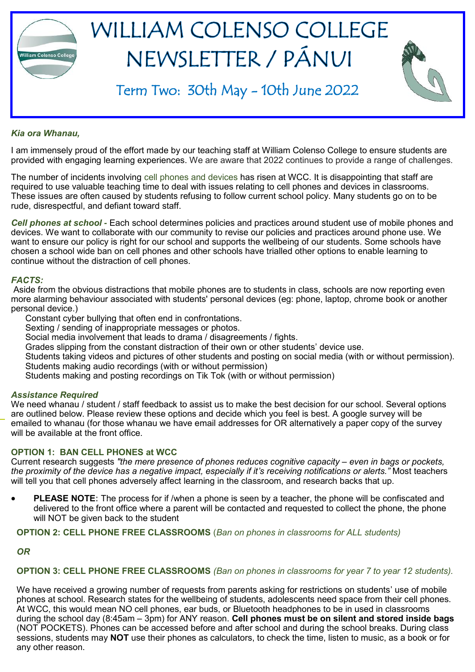

#### *Kia ora Whanau,*

I am immensely proud of the effort made by our teaching staff at William Colenso College to ensure students are provided with engaging learning experiences. We are aware that 2022 continues to provide a range of challenges.

The number of incidents involving cell phones and devices has risen at WCC. It is disappointing that staff are required to use valuable teaching time to deal with issues relating to cell phones and devices in classrooms. These issues are often caused by students refusing to follow current school policy. Many students go on to be rude, disrespectful, and defiant toward staff.

*Cell phones at school -* Each school determines policies and practices around student use of mobile phones and devices. We want to collaborate with our community to revise our policies and practices around phone use. We want to ensure our policy is right for our school and supports the wellbeing of our students. Some schools have chosen a school wide ban on cell phones and other schools have trialled other options to enable learning to continue without the distraction of cell phones.

#### *FACTS:*

Aside from the obvious distractions that mobile phones are to students in class, schools are now reporting even more alarming behaviour associated with students' personal devices (eg: phone, laptop, chrome book or another personal device.)

Constant cyber bullying that often end in confrontations.

Sexting / sending of inappropriate messages or photos.

Social media involvement that leads to drama / disagreements / fights.

Grades slipping from the constant distraction of their own or other students' device use.

Students taking videos and pictures of other students and posting on social media (with or without permission). Students making audio recordings (with or without permission)

Students making and posting recordings on Tik Tok (with or without permission)

#### *Assistance Required*

We need whanau / student / staff feedback to assist us to make the best decision for our school. Several options are outlined below. Please review these options and decide which you feel is best. A google survey will be emailed to whanau (for those whanau we have email addresses for OR alternatively a paper copy of the survey will be available at the front office.

#### **OPTION 1: BAN CELL PHONES at WCC**

Current research suggests *"the mere presence of phones reduces cognitive capacity – even in bags or pockets, the proximity of the device has a negative impact, especially if it's receiving notifications or alerts."* Most teachers will tell you that cell phones adversely affect learning in the classroom, and research backs that up.

• **PLEASE NOTE:** The process for if /when a phone is seen by a teacher, the phone will be confiscated and delivered to the front office where a parent will be contacted and requested to collect the phone, the phone will NOT be given back to the student

**OPTION 2: CELL PHONE FREE CLASSROOMS** (*Ban on phones in classrooms for ALL students)*

*OR* 

#### **OPTION 3: CELL PHONE FREE CLASSROOMS** *(Ban on phones in classrooms for year 7 to year 12 students).*

We have received a growing number of requests from parents asking for restrictions on students' use of mobile phones at school. Research states for the wellbeing of students, adolescents need space from their cell phones. At WCC, this would mean NO cell phones, ear buds, or Bluetooth headphones to be in used in classrooms during the school day (8:45am – 3pm) for ANY reason. **Cell phones must be on silent and stored inside bags** (NOT POCKETS). Phones can be accessed before and after school and during the school breaks. During class sessions, students may **NOT** use their phones as calculators, to check the time, listen to music, as a book or for any other reason.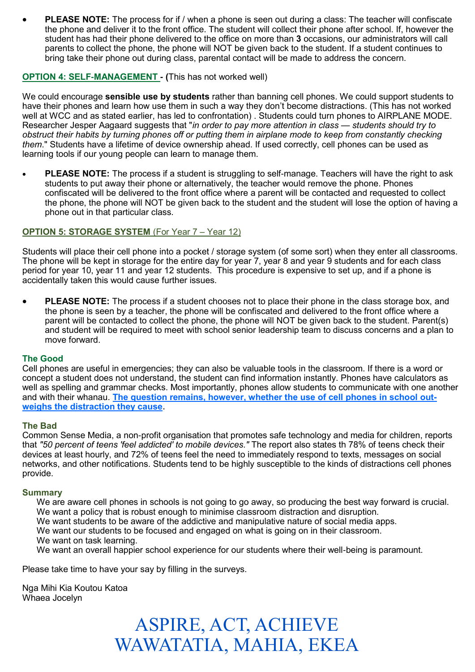**PLEASE NOTE:** The process for if / when a phone is seen out during a class: The teacher will confiscate the phone and deliver it to the front office. The student will collect their phone after school. If, however the student has had their phone delivered to the office on more than **3** occasions, our administrators will call parents to collect the phone, the phone will NOT be given back to the student. If a student continues to bring take their phone out during class, parental contact will be made to address the concern.

#### **OPTION 4: SELF-MANAGEMENT - (**This has not worked well)

We could encourage **sensible use by students** rather than banning cell phones. We could support students to have their phones and learn how use them in such a way they don't become distractions. (This has not worked well at WCC and as stated earlier, has led to confrontation) . Students could turn phones to AIRPLANE MODE. Researcher Jesper Aagaard suggests that "*in order to pay more attention in class — students should try to obstruct their habits by [turning phones off or putting them in airplane mode](https://www.sciencenewsforstudents.org/article/when-smartphones-go-school) to keep from constantly checking them*." Students have a lifetime of device ownership ahead. If used correctly, cell phones can be used as learning tools if our young people can learn to manage them.

• **PLEASE NOTE:** The process if a student is struggling to self-manage. Teachers will have the right to ask students to put away their phone or alternatively, the teacher would remove the phone. Phones confiscated will be delivered to the front office where a parent will be contacted and requested to collect the phone, the phone will NOT be given back to the student and the student will lose the option of having a phone out in that particular class.

#### **OPTION 5: STORAGE SYSTEM** (For Year 7 – Year 12)

Students will place their cell phone into a pocket / storage system (of some sort) when they enter all classrooms. The phone will be kept in storage for the entire day for year 7, year 8 and year 9 students and for each class period for year 10, year 11 and year 12 students. This procedure is expensive to set up, and if a phone is accidentally taken this would cause further issues.

• **PLEASE NOTE:** The process if a student chooses not to place their phone in the class storage box, and the phone is seen by a teacher, the phone will be confiscated and delivered to the front office where a parent will be contacted to collect the phone, the phone will NOT be given back to the student. Parent(s) and student will be required to meet with school senior leadership team to discuss concerns and a plan to move forward.

#### **The Good**

Cell phones are useful in emergencies; they can also be valuable tools in the classroom. If there is a word or concept a student does not understand, the student can find information instantly. Phones have calculators as well as spelling and grammar checks. Most importantly, phones allow students to communicate with one another and with their whanau. **The question remains, however, whether the use of cell phones in school outweighs the distraction they cause.**

#### **The Bad**

Common Sense Media, a non-profit organisation that promotes safe technology and media for children, reports that *"50 percent of teens 'feel addicted' to mobile devices."* The report also states th 78% of teens check their devices at least hourly, and 72% of teens feel the need to immediately respond to texts, messages on social networks, and other notifications. Students tend to be highly susceptible to the kinds of distractions cell phones provide.

#### **Summary**

We are aware cell phones in schools is not going to go away, so producing the best way forward is crucial. We want a policy that is robust enough to minimise classroom distraction and disruption.

We want students to be aware of the addictive and manipulative nature of social media apps.

We want our students to be focused and engaged on what is going on in their classroom.

We want on task learning.

We want an overall happier school experience for our students where their well-being is paramount.

Please take time to have your say by filling in the surveys.

Nga Mihi Kia Koutou Katoa Whaea Jocelyn

### ASPIRE, ACT, ACHIEVE WAWATATIA, MAHIA, EKEA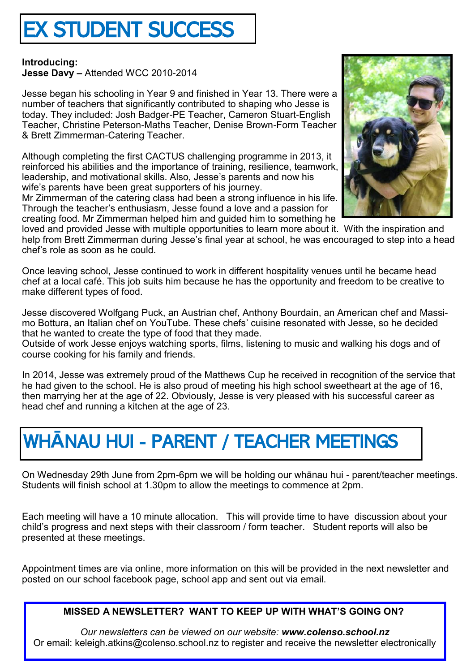# EX STUDENT SUCCESS

**Introducing: Jesse Davy –** Attended WCC 2010-2014

Jesse began his schooling in Year 9 and finished in Year 13. There were a number of teachers that significantly contributed to shaping who Jesse is today. They included: Josh Badger-PE Teacher, Cameron Stuart-English Teacher, Christine Peterson-Maths Teacher, Denise Brown-Form Teacher & Brett Zimmerman-Catering Teacher.

Although completing the first CACTUS challenging programme in 2013, it reinforced his abilities and the importance of training, resilience, teamwork, leadership, and motivational skills. Also, Jesse's parents and now his wife's parents have been great supporters of his journey.

Mr Zimmerman of the catering class had been a strong influence in his life. Through the teacher's enthusiasm, Jesse found a love and a passion for creating food. Mr Zimmerman helped him and guided him to something he

loved and provided Jesse with multiple opportunities to learn more about it. With the inspiration and help from Brett Zimmerman during Jesse's final year at school, he was encouraged to step into a head chef's role as soon as he could.

Once leaving school, Jesse continued to work in different hospitality venues until he became head chef at a local café. This job suits him because he has the opportunity and freedom to be creative to make different types of food.

Jesse discovered Wolfgang Puck, an Austrian chef, Anthony Bourdain, an American chef and Massimo Bottura, an Italian chef on YouTube. These chefs' cuisine resonated with Jesse, so he decided that he wanted to create the type of food that they made.

Outside of work Jesse enjoys watching sports, films, listening to music and walking his dogs and of course cooking for his family and friends.

In 2014, Jesse was extremely proud of the Matthews Cup he received in recognition of the service that he had given to the school. He is also proud of meeting his high school sweetheart at the age of 16, then marrying her at the age of 22. Obviously, Jesse is very pleased with his successful career as head chef and running a kitchen at the age of 23.

## WH**Ā**NAU HUI - PARENT / TEACHER MEETINGS

On Wednesday 29th June from 2pm-6pm we will be holding our whānau hui - parent/teacher meetings. Students will finish school at 1.30pm to allow the meetings to commence at 2pm.

Each meeting will have a 10 minute allocation. This will provide time to have discussion about your child's progress and next steps with their classroom / form teacher. Student reports will also be presented at these meetings.

Appointment times are via online, more information on this will be provided in the next newsletter and posted on our school facebook page, school app and sent out via email.

**MISSED A NEWSLETTER? WANT TO KEEP UP WITH WHAT'S GOING ON?**

*Our newsletters can be viewed on our website: www.colenso.school.nz* Or email: keleigh.atkins@colenso.school.nz to register and receive the newsletter electronically